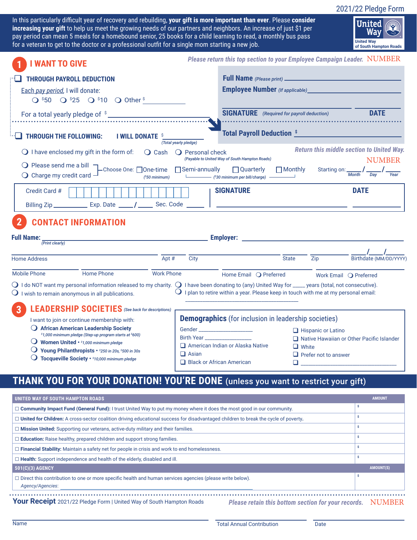2021/22 Pledge Form

In this particularly difficult year of recovery and rebuilding, **your gift is more important than ever**. Please **consider increasing your gift** to help us meet the growing needs of our partners and neighbors. An increase of just \$1 per pay period can mean 5 meals for a homebound senior, 25 books for a child learning to read, a monthly bus pass for a veteran to get to the doctor or a professional outfit for a single mom starting a new job.



| <b>I WANT TO GIVE</b>                                                                                                                                                                                                                                                 |                                                                              |                                         |                  | Please return this top section to your Employee Campaign Leader. NUMBER                                                                  |                |                               |                                                                                                                                    |
|-----------------------------------------------------------------------------------------------------------------------------------------------------------------------------------------------------------------------------------------------------------------------|------------------------------------------------------------------------------|-----------------------------------------|------------------|------------------------------------------------------------------------------------------------------------------------------------------|----------------|-------------------------------|------------------------------------------------------------------------------------------------------------------------------------|
| <b>THROUGH PAYROLL DEDUCTION</b><br>Each pay period, I will donate:                                                                                                                                                                                                   | $Q$ \$50 $Q$ \$25 $Q$ \$10 $Q$ Other \$                                      |                                         |                  |                                                                                                                                          |                |                               |                                                                                                                                    |
|                                                                                                                                                                                                                                                                       |                                                                              |                                         |                  | <b>SIGNATURE</b> (Required for payroll deduction)                                                                                        |                |                               | <b>DATE</b>                                                                                                                        |
| THROUGH THE FOLLOWING:                                                                                                                                                                                                                                                | <b>I WILL DONATE S</b>                                                       | (Total yearly pledge)                   |                  | <b>Total Payroll Deduction SWARES AND READ PROPERTY AND READ PROPERTY</b>                                                                |                |                               |                                                                                                                                    |
| $\bigcirc$ I have enclosed my gift in the form of:<br>○ Please send me a bill – Choose One: □One-time – □Semi-annually<br>$\bigcirc$ Charge my credit card $-$                                                                                                        |                                                                              | $\bigcirc$ Cash<br>$($ \$50 minimum $)$ | ○ Personal check | (Payable to United Way of South Hampton Roads)<br>$\Box$ Quarterly<br>(\$30 minimum per bill/charge) ——————                              | $\Box$ Monthly |                               | <b>Return this middle section to United Way.</b><br><b>NUMBER</b><br>Starting on: $\frac{1}{M_0}$ $\frac{1}{Dav}$ $\frac{1}{Year}$ |
| Credit Card #                                                                                                                                                                                                                                                         |                                                                              |                                         |                  | <b>SIGNATURE</b>                                                                                                                         |                |                               | <b>DATE</b>                                                                                                                        |
| <b>CONTACT INFORMATION</b><br><b>Full Name:</b><br>(Print clearly)                                                                                                                                                                                                    |                                                                              |                                         |                  |                                                                                                                                          |                |                               |                                                                                                                                    |
| <b>Home Address</b>                                                                                                                                                                                                                                                   |                                                                              | Apt $#$                                 | City             |                                                                                                                                          | State State    | <b>Zip</b>                    | Birthdate (MM/DD/YYYY                                                                                                              |
| Mobile Phone<br>$\bigcirc$ I do NOT want my personal information released to my charity. $\bigcirc$ I have been donating to (any) United Way for ____ years (total, not consecutive).<br>$\bigcirc$ I wish to remain anonymous in all publications.<br>$\overline{3}$ | <b>Home Phone</b><br><b>LEADERSHIP SOCIETIES</b> (See back for descriptions) | <b>Work Phone</b>                       |                  | Home Email Q Preferred<br>$\operatorname{\mathsf{O}}$ I plan to retire within a year. Please keep in touch with me at my personal email: |                | Work Email <b>O</b> Preferred |                                                                                                                                    |
| I want to join or continue membership with:                                                                                                                                                                                                                           |                                                                              |                                         |                  | <b>Demographics</b> (for inclusion in leadership societies)                                                                              |                |                               |                                                                                                                                    |

### **THANK YOU FOR YOUR DONATION! YOU'RE DONE** (unless you want to restrict your gift)

| UNITED WAY OF SOUTH HAMPTON ROADS                                                                                                          | <b>AMOUNT</b>    |  |  |  |
|--------------------------------------------------------------------------------------------------------------------------------------------|------------------|--|--|--|
| $\Box$ Community Impact Fund (General Fund): I trust United Way to put my money where it does the most good in our community.              |                  |  |  |  |
| $\Box$ United for Children: A cross-sector coalition driving educational success for disadvantaged children to break the cycle of poverty. |                  |  |  |  |
| $\Box$ Mission United: Supporting our veterans, active-duty military and their families.                                                   |                  |  |  |  |
| $\Box$ <b>Education:</b> Raise healthy, prepared children and support strong families.                                                     |                  |  |  |  |
| $\Box$ Financial Stability: Maintain a safety net for people in crisis and work to end homelessness.                                       |                  |  |  |  |
| $\Box$ Health: Support independence and health of the elderly, disabled and ill.                                                           |                  |  |  |  |
| 501(C)(3) AGENCY                                                                                                                           | <b>AMOUNT(S)</b> |  |  |  |
| $\Box$ Direct this contribution to one or more specific health and human services agencies (please write below).<br>Agency/Agencies:       |                  |  |  |  |
| Your Receipt 2021/22 Pledge Form   United Way of South Hampton Roads<br>Please retain this bottom section for your records. NUMBER         |                  |  |  |  |